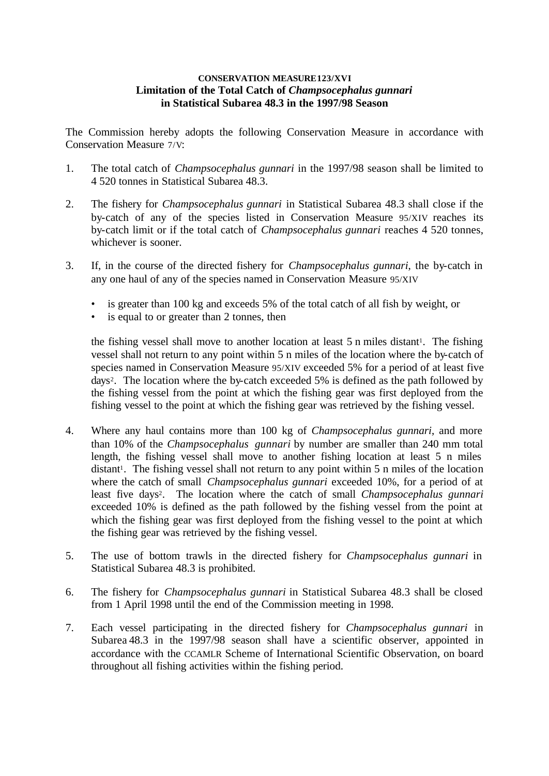## **CONSERVATION MEASURE123/XVI Limitation of the Total Catch of** *Champsocephalus gunnari* **in Statistical Subarea 48.3 in the 1997/98 Season**

The Commission hereby adopts the following Conservation Measure in accordance with Conservation Measure 7/V:

- 1. The total catch of *Champsocephalus gunnari* in the 1997/98 season shall be limited to 4 520 tonnes in Statistical Subarea 48.3.
- 2. The fishery for *Champsocephalus gunnari* in Statistical Subarea 48.3 shall close if the by-catch of any of the species listed in Conservation Measure 95/XIV reaches its by-catch limit or if the total catch of *Champsocephalus gunnari* reaches 4 520 tonnes, whichever is sooner.
- 3. If, in the course of the directed fishery for *Champsocephalus gunnari*, the by-catch in any one haul of any of the species named in Conservation Measure 95/XIV
	- is greater than 100 kg and exceeds 5% of the total catch of all fish by weight, or
	- is equal to or greater than 2 tonnes, then

the fishing vessel shall move to another location at least 5 n miles distant<sup>1</sup>. The fishing vessel shall not return to any point within 5 n miles of the location where the by-catch of species named in Conservation Measure 95/XIV exceeded 5% for a period of at least five days<sup>2</sup> . The location where the by-catch exceeded 5% is defined as the path followed by the fishing vessel from the point at which the fishing gear was first deployed from the fishing vessel to the point at which the fishing gear was retrieved by the fishing vessel.

- 4. Where any haul contains more than 100 kg of *Champsocephalus gunnari*, and more than 10% of the *Champsocephalus gunnari* by number are smaller than 240 mm total length, the fishing vessel shall move to another fishing location at least 5 n miles distant<sup>1</sup>. The fishing vessel shall not return to any point within 5 n miles of the location where the catch of small *Champsocephalus gunnari* exceeded 10%, for a period of at least five days<sup>2</sup>. The location where the catch of small *Champsocephalus gunnari* exceeded 10% is defined as the path followed by the fishing vessel from the point at which the fishing gear was first deployed from the fishing vessel to the point at which the fishing gear was retrieved by the fishing vessel.
- 5. The use of bottom trawls in the directed fishery for *Champsocephalus gunnari* in Statistical Subarea 48.3 is prohibited.
- 6. The fishery for *Champsocephalus gunnari* in Statistical Subarea 48.3 shall be closed from 1 April 1998 until the end of the Commission meeting in 1998.
- 7. Each vessel participating in the directed fishery for *Champsocephalus gunnari* in Subarea 48.3 in the 1997/98 season shall have a scientific observer, appointed in accordance with the CCAMLR Scheme of International Scientific Observation, on board throughout all fishing activities within the fishing period.